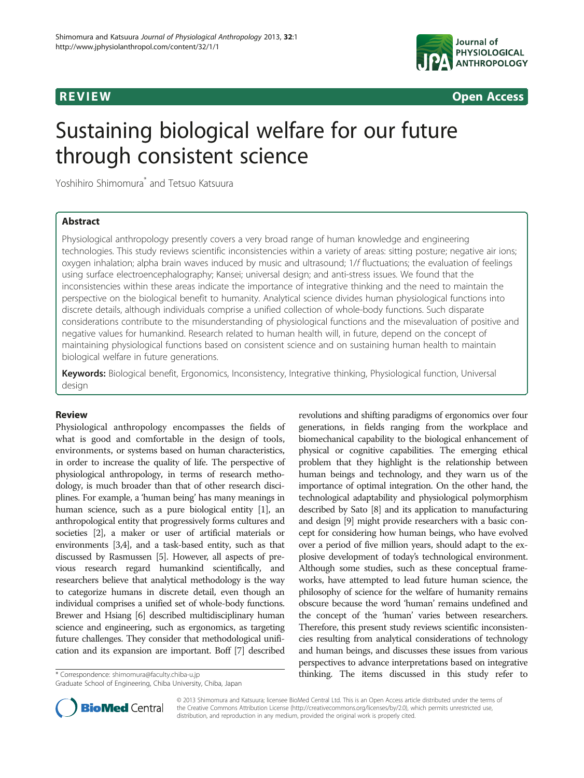

# R EVI EW OPEN ACCESS OF THE EW OPEN ACCESS OF THE EWOLF AND THE EWOLF ACCESS OF THE EXTENSION OF THE EXTENSION

# Sustaining biological welfare for our future through consistent science

Yoshihiro Shimomura\* and Tetsuo Katsuura

# **Abstract**

Physiological anthropology presently covers a very broad range of human knowledge and engineering technologies. This study reviews scientific inconsistencies within a variety of areas: sitting posture; negative air ions; oxygen inhalation; alpha brain waves induced by music and ultrasound; 1/f fluctuations; the evaluation of feelings using surface electroencephalography; Kansei; universal design; and anti-stress issues. We found that the inconsistencies within these areas indicate the importance of integrative thinking and the need to maintain the perspective on the biological benefit to humanity. Analytical science divides human physiological functions into discrete details, although individuals comprise a unified collection of whole-body functions. Such disparate considerations contribute to the misunderstanding of physiological functions and the misevaluation of positive and negative values for humankind. Research related to human health will, in future, depend on the concept of maintaining physiological functions based on consistent science and on sustaining human health to maintain biological welfare in future generations.

Keywords: Biological benefit, Ergonomics, Inconsistency, Integrative thinking, Physiological function, Universal design

Physiological anthropology encompasses the fields of what is good and comfortable in the design of tools, environments, or systems based on human characteristics, in order to increase the quality of life. The perspective of physiological anthropology, in terms of research methodology, is much broader than that of other research disciplines. For example, a 'human being' has many meanings in human science, such as a pure biological entity [\[1\]](#page-4-0), an anthropological entity that progressively forms cultures and societies [\[2\]](#page-4-0), a maker or user of artificial materials or environments [\[3,4](#page-4-0)], and a task-based entity, such as that discussed by Rasmussen [\[5\]](#page-4-0). However, all aspects of previous research regard humankind scientifically, and researchers believe that analytical methodology is the way to categorize humans in discrete detail, even though an individual comprises a unified set of whole-body functions. Brewer and Hsiang [[6\]](#page-4-0) described multidisciplinary human science and engineering, such as ergonomics, as targeting future challenges. They consider that methodological unification and its expansion are important. Boff [\[7\]](#page-4-0) described

Graduate School of Engineering, Chiba University, Chiba, Japan

revolutions and shifting paradigms of ergonomics over four generations, in fields ranging from the workplace and biomechanical capability to the biological enhancement of physical or cognitive capabilities. The emerging ethical problem that they highlight is the relationship between human beings and technology, and they warn us of the importance of optimal integration. On the other hand, the technological adaptability and physiological polymorphism described by Sato [\[8](#page-4-0)] and its application to manufacturing and design [[9](#page-4-0)] might provide researchers with a basic concept for considering how human beings, who have evolved over a period of five million years, should adapt to the explosive development of today's technological environment. Although some studies, such as these conceptual frameworks, have attempted to lead future human science, the philosophy of science for the welfare of humanity remains obscure because the word 'human' remains undefined and the concept of the 'human' varies between researchers. Therefore, this present study reviews scientific inconsistencies resulting from analytical considerations of technology and human beings, and discusses these issues from various perspectives to advance interpretations based on integrative \* Correspondence: [shimomura@faculty.chiba-u.jp](mailto:shimomura@faculty.chiba-u.jp) thinking. The items discussed in this study refer to



© 2013 Shimomura and Katsuura; licensee BioMed Central Ltd. This is an Open Access article distributed under the terms of the Creative Commons Attribution License [\(http://creativecommons.org/licenses/by/2.0\)](http://creativecommons.org/licenses/by/2.0), which permits unrestricted use, distribution, and reproduction in any medium, provided the original work is properly cited.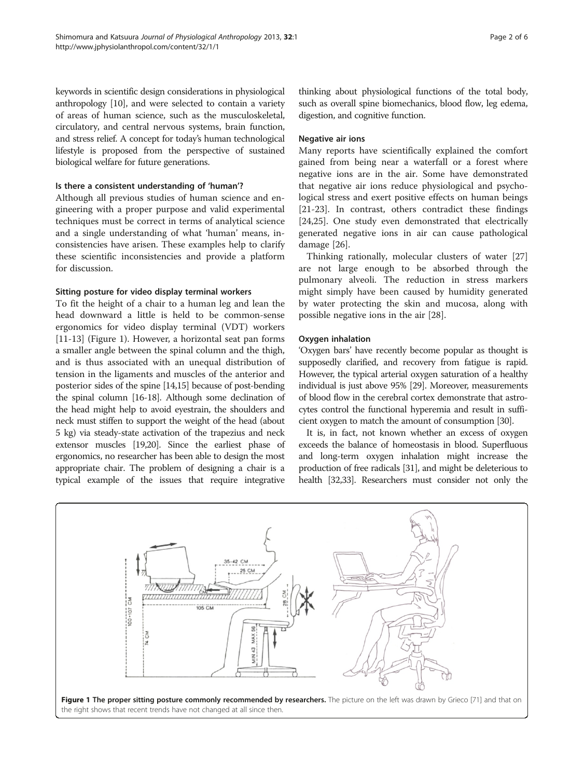keywords in scientific design considerations in physiological anthropology [\[10](#page-4-0)], and were selected to contain a variety of areas of human science, such as the musculoskeletal, circulatory, and central nervous systems, brain function, and stress relief. A concept for today's human technological lifestyle is proposed from the perspective of sustained biological welfare for future generations.

#### Is there a consistent understanding of 'human'?

Although all previous studies of human science and engineering with a proper purpose and valid experimental techniques must be correct in terms of analytical science and a single understanding of what 'human' means, inconsistencies have arisen. These examples help to clarify these scientific inconsistencies and provide a platform for discussion.

### Sitting posture for video display terminal workers

To fit the height of a chair to a human leg and lean the head downward a little is held to be common-sense ergonomics for video display terminal (VDT) workers [[11-13](#page-4-0)] (Figure 1). However, a horizontal seat pan forms a smaller angle between the spinal column and the thigh, and is thus associated with an unequal distribution of tension in the ligaments and muscles of the anterior and posterior sides of the spine [\[14,15\]](#page-4-0) because of post-bending the spinal column [[16-18\]](#page-4-0). Although some declination of the head might help to avoid eyestrain, the shoulders and neck must stiffen to support the weight of the head (about 5 kg) via steady-state activation of the trapezius and neck extensor muscles [\[19,20](#page-4-0)]. Since the earliest phase of ergonomics, no researcher has been able to design the most appropriate chair. The problem of designing a chair is a typical example of the issues that require integrative

thinking about physiological functions of the total body, such as overall spine biomechanics, blood flow, leg edema, digestion, and cognitive function.

#### Negative air ions

Many reports have scientifically explained the comfort gained from being near a waterfall or a forest where negative ions are in the air. Some have demonstrated that negative air ions reduce physiological and psychological stress and exert positive effects on human beings [[21-23](#page-4-0)]. In contrast, others contradict these findings [[24,25\]](#page-4-0). One study even demonstrated that electrically generated negative ions in air can cause pathological damage [\[26\]](#page-4-0).

Thinking rationally, molecular clusters of water [[27](#page-4-0)] are not large enough to be absorbed through the pulmonary alveoli. The reduction in stress markers might simply have been caused by humidity generated by water protecting the skin and mucosa, along with possible negative ions in the air [[28\]](#page-4-0).

#### Oxygen inhalation

'Oxygen bars' have recently become popular as thought is supposedly clarified, and recovery from fatigue is rapid. However, the typical arterial oxygen saturation of a healthy individual is just above 95% [\[29](#page-4-0)]. Moreover, measurements of blood flow in the cerebral cortex demonstrate that astrocytes control the functional hyperemia and result in sufficient oxygen to match the amount of consumption [\[30](#page-4-0)].

It is, in fact, not known whether an excess of oxygen exceeds the balance of homeostasis in blood. Superfluous and long-term oxygen inhalation might increase the production of free radicals [[31](#page-4-0)], and might be deleterious to health [\[32,33](#page-4-0)]. Researchers must consider not only the

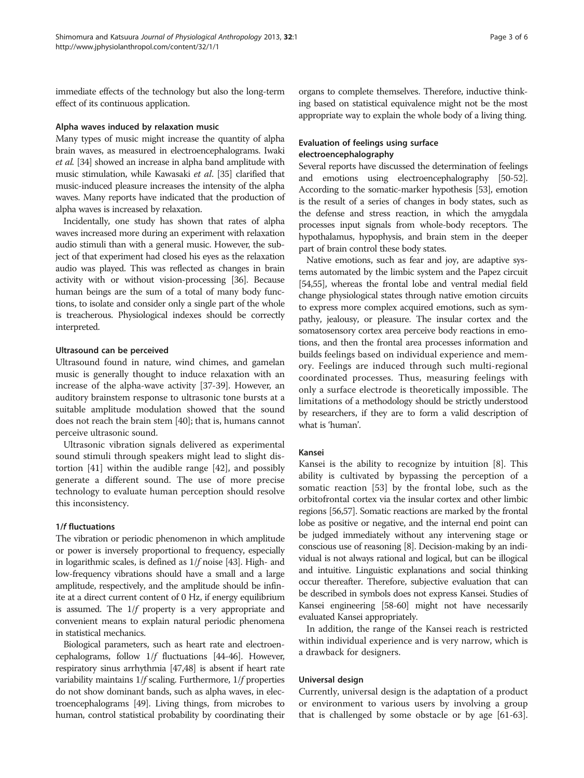immediate effects of the technology but also the long-term effect of its continuous application.

#### Alpha waves induced by relaxation music

Many types of music might increase the quantity of alpha brain waves, as measured in electroencephalograms. Iwaki et al. [[34](#page-4-0)] showed an increase in alpha band amplitude with music stimulation, while Kawasaki et al. [[35\]](#page-4-0) clarified that music-induced pleasure increases the intensity of the alpha waves. Many reports have indicated that the production of alpha waves is increased by relaxation.

Incidentally, one study has shown that rates of alpha waves increased more during an experiment with relaxation audio stimuli than with a general music. However, the subject of that experiment had closed his eyes as the relaxation audio was played. This was reflected as changes in brain activity with or without vision-processing [\[36](#page-4-0)]. Because human beings are the sum of a total of many body functions, to isolate and consider only a single part of the whole is treacherous. Physiological indexes should be correctly interpreted.

# Ultrasound can be perceived

Ultrasound found in nature, wind chimes, and gamelan music is generally thought to induce relaxation with an increase of the alpha-wave activity [\[37-39\]](#page-4-0). However, an auditory brainstem response to ultrasonic tone bursts at a suitable amplitude modulation showed that the sound does not reach the brain stem [[40](#page-4-0)]; that is, humans cannot perceive ultrasonic sound.

Ultrasonic vibration signals delivered as experimental sound stimuli through speakers might lead to slight distortion [\[41\]](#page-4-0) within the audible range [[42](#page-4-0)], and possibly generate a different sound. The use of more precise technology to evaluate human perception should resolve this inconsistency.

# 1/f fluctuations

The vibration or periodic phenomenon in which amplitude or power is inversely proportional to frequency, especially in logarithmic scales, is defined as  $1/f$  noise [\[43](#page-4-0)]. High- and low-frequency vibrations should have a small and a large amplitude, respectively, and the amplitude should be infinite at a direct current content of 0 Hz, if energy equilibrium is assumed. The  $1/f$  property is a very appropriate and convenient means to explain natural periodic phenomena in statistical mechanics.

Biological parameters, such as heart rate and electroencephalograms, follow  $1/f$  fluctuations [\[44-46\]](#page-4-0). However, respiratory sinus arrhythmia [\[47,48](#page-4-0)] is absent if heart rate variability maintains  $1/f$  scaling. Furthermore,  $1/f$  properties do not show dominant bands, such as alpha waves, in electroencephalograms [\[49\]](#page-4-0). Living things, from microbes to human, control statistical probability by coordinating their organs to complete themselves. Therefore, inductive thinking based on statistical equivalence might not be the most appropriate way to explain the whole body of a living thing.

# Evaluation of feelings using surface electroencephalography

Several reports have discussed the determination of feelings and emotions using electroencephalography [\[50-52](#page-5-0)]. According to the somatic-marker hypothesis [\[53](#page-5-0)], emotion is the result of a series of changes in body states, such as the defense and stress reaction, in which the amygdala processes input signals from whole-body receptors. The hypothalamus, hypophysis, and brain stem in the deeper part of brain control these body states.

Native emotions, such as fear and joy, are adaptive systems automated by the limbic system and the Papez circuit [[54,55\]](#page-5-0), whereas the frontal lobe and ventral medial field change physiological states through native emotion circuits to express more complex acquired emotions, such as sympathy, jealousy, or pleasure. The insular cortex and the somatosensory cortex area perceive body reactions in emotions, and then the frontal area processes information and builds feelings based on individual experience and memory. Feelings are induced through such multi-regional coordinated processes. Thus, measuring feelings with only a surface electrode is theoretically impossible. The limitations of a methodology should be strictly understood by researchers, if they are to form a valid description of what is 'human'.

# Kansei

Kansei is the ability to recognize by intuition [[8\]](#page-4-0). This ability is cultivated by bypassing the perception of a somatic reaction [\[53](#page-5-0)] by the frontal lobe, such as the orbitofrontal cortex via the insular cortex and other limbic regions [[56,57](#page-5-0)]. Somatic reactions are marked by the frontal lobe as positive or negative, and the internal end point can be judged immediately without any intervening stage or conscious use of reasoning [\[8\]](#page-4-0). Decision-making by an individual is not always rational and logical, but can be illogical and intuitive. Linguistic explanations and social thinking occur thereafter. Therefore, subjective evaluation that can be described in symbols does not express Kansei. Studies of Kansei engineering [\[58](#page-5-0)-[60](#page-5-0)] might not have necessarily evaluated Kansei appropriately.

In addition, the range of the Kansei reach is restricted within individual experience and is very narrow, which is a drawback for designers.

#### Universal design

Currently, universal design is the adaptation of a product or environment to various users by involving a group that is challenged by some obstacle or by age [\[61-63](#page-5-0)].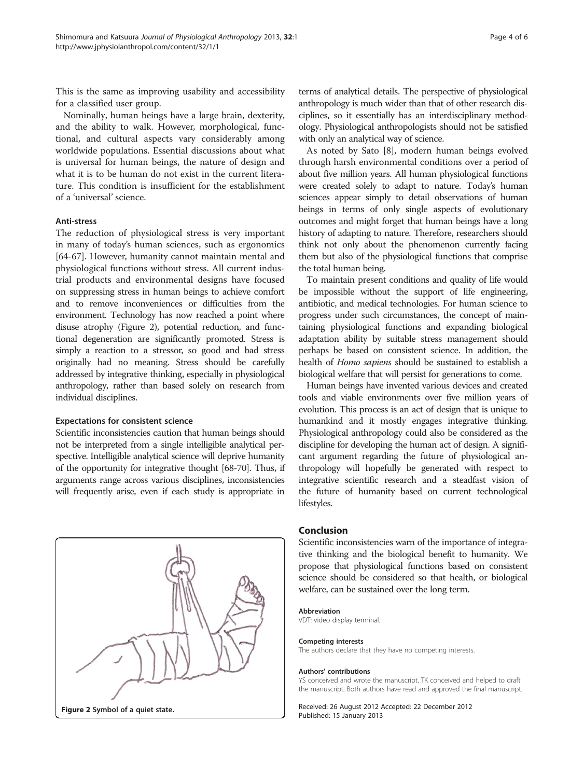This is the same as improving usability and accessibility for a classified user group.

Nominally, human beings have a large brain, dexterity, and the ability to walk. However, morphological, functional, and cultural aspects vary considerably among worldwide populations. Essential discussions about what is universal for human beings, the nature of design and what it is to be human do not exist in the current literature. This condition is insufficient for the establishment of a 'universal' science.

#### Anti-stress

The reduction of physiological stress is very important in many of today's human sciences, such as ergonomics [[64-67](#page-5-0)]. However, humanity cannot maintain mental and physiological functions without stress. All current industrial products and environmental designs have focused on suppressing stress in human beings to achieve comfort and to remove inconveniences or difficulties from the environment. Technology has now reached a point where disuse atrophy (Figure 2), potential reduction, and functional degeneration are significantly promoted. Stress is simply a reaction to a stressor, so good and bad stress originally had no meaning. Stress should be carefully addressed by integrative thinking, especially in physiological anthropology, rather than based solely on research from individual disciplines.

#### Expectations for consistent science

Scientific inconsistencies caution that human beings should not be interpreted from a single intelligible analytical perspective. Intelligible analytical science will deprive humanity of the opportunity for integrative thought [\[68-70](#page-5-0)]. Thus, if arguments range across various disciplines, inconsistencies will frequently arise, even if each study is appropriate in



terms of analytical details. The perspective of physiological anthropology is much wider than that of other research disciplines, so it essentially has an interdisciplinary methodology. Physiological anthropologists should not be satisfied with only an analytical way of science.

As noted by Sato [\[8](#page-4-0)], modern human beings evolved through harsh environmental conditions over a period of about five million years. All human physiological functions were created solely to adapt to nature. Today's human sciences appear simply to detail observations of human beings in terms of only single aspects of evolutionary outcomes and might forget that human beings have a long history of adapting to nature. Therefore, researchers should think not only about the phenomenon currently facing them but also of the physiological functions that comprise the total human being.

To maintain present conditions and quality of life would be impossible without the support of life engineering, antibiotic, and medical technologies. For human science to progress under such circumstances, the concept of maintaining physiological functions and expanding biological adaptation ability by suitable stress management should perhaps be based on consistent science. In addition, the health of Homo sapiens should be sustained to establish a biological welfare that will persist for generations to come.

Human beings have invented various devices and created tools and viable environments over five million years of evolution. This process is an act of design that is unique to humankind and it mostly engages integrative thinking. Physiological anthropology could also be considered as the discipline for developing the human act of design. A significant argument regarding the future of physiological anthropology will hopefully be generated with respect to integrative scientific research and a steadfast vision of the future of humanity based on current technological lifestyles.

# **Conclusion**

Scientific inconsistencies warn of the importance of integrative thinking and the biological benefit to humanity. We propose that physiological functions based on consistent science should be considered so that health, or biological welfare, can be sustained over the long term.

#### Abbreviation

VDT: video display terminal.

#### Competing interests

The authors declare that they have no competing interests.

#### Authors' contributions

YS conceived and wrote the manuscript. TK conceived and helped to draft the manuscript. Both authors have read and approved the final manuscript.

Received: 26 August 2012 Accepted: 22 December 2012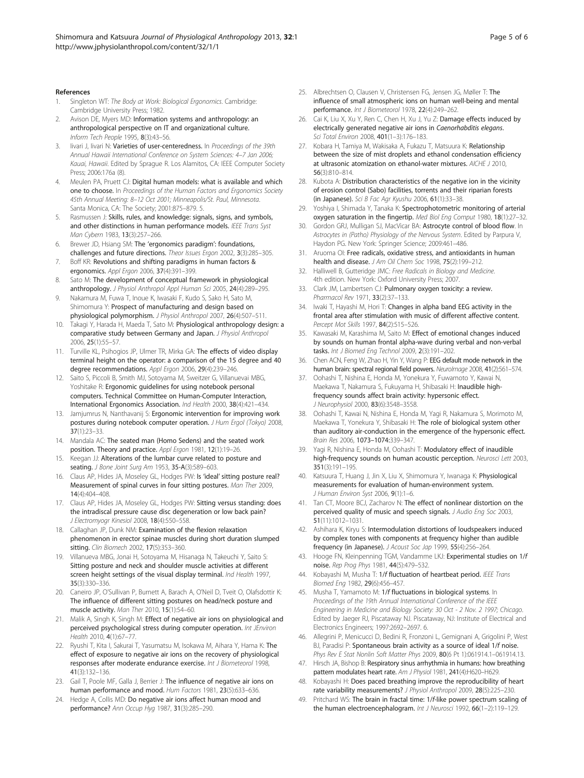#### <span id="page-4-0"></span>References

- Singleton WT: The Body at Work: Biological Ergonomics. Cambridge: Cambridge University Press; 1982.
- Avison DE, Myers MD: Information systems and anthropology: an anthropological perspective on IT and organizational culture. Inform Tech People 1995, 8(3):43–56.
- 3. Iivari J, Iivari N: Varieties of user-centeredness. In Proceedings of the 39th Annual Hawaii International Conference on System Sciences: 4–7 Jan 2006; Kauai, Hawaii. Edited by Sprague R. Los Alamitos, CA: IEEE Computer Society Press; 2006:176a (8).
- Meulen PA, Pruett CJ: Digital human models: what is available and which one to choose. In Proceedings of the Human Factors and Ergonomics Society 45th Annual Meeting: 8–12 Oct 2001; Minneapolis/St. Paul, Minnesota. Santa Monica, CA: The Society; 2001:875–879. 5.
- Rasmussen J: Skills, rules, and knowledge: signals, signs, and symbols, and other distinctions in human performance models. IEEE Trans Syst Man Cybern 1983, 13(3):257–266.
- 6. Brewer JD, Hsiang SM: The 'ergonomics paradigm': foundations, challenges and future directions. Theor Issues Ergon 2002, 3(3):285–305.
- 7. Boff KR: Revolutions and shifting paradigms in human factors & ergonomics. Appl Ergon 2006, 37(4):391–399.
- 8. Sato M: The development of conceptual framework in physiological anthropology. J Physiol Anthropol Appl Human Sci 2005, 24(4):289–295.
- 9. Nakamura M, Fuwa T, Inoue K, Iwasaki F, Kudo S, Sako H, Sato M, Shimomura Y: Prospect of manufacturing and design based on physiological polymorphism. J Physiol Anthropol 2007, 26(4):507–511.
- 10. Takagi Y, Harada H, Maeda T, Sato M: Physiological anthropology design: a comparative study between Germany and Japan. J Physiol Anthropol 2006, 25(1):55–57.
- 11. Turville KL, Psihogios JP, Ulmer TR, Mirka GA: The effects of video display terminal height on the operator: a comparison of the 15 degree and 40 degree recommendations. Appl Ergon 2006, 29(4):239–246.
- 12. Saito S, Piccoli B, Smith MJ, Sotoyama M, Sweitzer G, Villanuevai MBG, Yoshitake R: Ergonomic guidelines for using notebook personal computers. Technical Committee on Human-Computer Interaction, International Ergonomics Association. Ind Health 2000, 38(4):421–434.
- 13. Jamjumrus N, Nanthavanij S: Ergonomic intervention for improving work postures during notebook computer operation. J Hum Ergol (Tokyo) 2008, 37(1):23–33.
- 14. Mandala AC: The seated man (Homo Sedens) and the seated work position. Theory and practice. Appl Ergon 1981, 12(1):19–26.
- 15. Keegan JJ: Alterations of the lumbar curve related to posture and seating. J Bone Joint Surg Am 1953, 35-A(3):589–603.
- 16. Claus AP, Hides JA, Moseley GL, Hodges PW: Is 'ideal' sitting posture real? Measurement of spinal curves in four sitting postures. Man Ther 2009, 14(4):404–408.
- 17. Claus AP, Hides JA, Moseley GL, Hodges PW: Sitting versus standing: does the intradiscal pressure cause disc degeneration or low back pain? J Electromyogr Kinesiol 2008, 18(4):550–558.
- 18. Callaghan JP, Dunk NM: Examination of the flexion relaxation phenomenon in erector spinae muscles during short duration slumped sitting. Clin Biomech 2002, 17(5):353-360.
- 19. Villanueva MBG, Jonai H, Sotoyama M, Hisanaga N, Takeuchi Y, Saito S: Sitting posture and neck and shoulder muscle activities at different screen height settings of the visual display terminal. Ind Health 1997, 35(3):330–336.
- 20. Caneiro JP, O'Sullivan P, Burnett A, Barach A, O'Neil D, Tveit O, Olafsdottir K: The influence of different sitting postures on head/neck posture and muscle activity. Man Ther 2010, 15(1):54–60.
- 21. Malik A, Singh K, Singh M: Effect of negative air ions on physiological and perceived psychological stress during computer operation. Int JEnviron Health 2010, 4(1):67–77.
- 22. Ryushi T, Kita I, Sakurai T, Yasumatsu M, Isokawa M, Aihara Y, Hama K: The effect of exposure to negative air ions on the recovery of physiological responses after moderate endurance exercise. Int J Biometeorol 1998, 41(3):132–136.
- 23. Gail T, Poole MF, Galla J, Berrier J: The influence of negative air ions on human performance and mood. Hum Factors 1981, 23(5):633–636.
- 24. Hedge A, Collis MD: Do negative air ions affect human mood and performance? Ann Occup Hyg 1987, 31(3):285–290.
- 25. Albrechtsen O, Clausen V, Christensen FG, Jensen JG, Møller T: The influence of small atmospheric ions on human well-being and mental performance. Int J Biometeorol 1978, 22(4):249–262.
- 26. Cai K, Liu X, Xu Y, Ren C, Chen H, Xu J, Yu Z: Damage effects induced by electrically generated negative air ions in Caenorhabditis elegans. Sci Total Environ 2008, 401(1–3):176–183.
- 27. Kobara H, Tamiya M, Wakisaka A, Fukazu T, Matsuura K: Relationship between the size of mist droplets and ethanol condensation efficiency at ultrasonic atomization on ethanol-water mixtures. AICHE J 2010, 56(3):810–814.
- 28. Kubota A: Distribution characteristics of the negative ion in the vicinity of erosion control (Sabo) facilities, torrents and their riparian forests (in Japanese). Sci B Fac Agr Kyushu 2006, 61(1):33–38.
- 29. Yoshiya I, Shimada Y, Tanaka K: Spectrophotometric monitoring of arterial oxygen saturation in the fingertip. Med Biol Eng Comput 1980, 18(1):27–32.
- 30. Gordon GRJ, Mulligan SJ, MacVicar BA: Astrocyte control of blood flow. In Astrocytes in (Patho) Physiology of the Nervous System. Edited by Parpura V, Haydon PG. New York: Springer Science; 2009:461–486.
- 31. Aruoma OI: Free radicals, oxidative stress, and antioxidants in human health and disease. J Am Oil Chem Soc 1998, 75(2):199-212.
- 32. Halliwell B, Gutteridge JMC: Free Radicals in Biology and Medicine. 4th edition. New York: Oxford University Press; 2007.
- 33. Clark JM, Lambertsen CJ: Pulmonary oxygen toxicity: a review. Pharmacol Rev 1971, 33(2):37–133.
- 34. Iwaki T, Hayashi M, Hori T: Changes in alpha band EEG activity in the frontal area after stimulation with music of different affective content. Percept Mot Skills 1997, 84(2):515–526.
- 35. Kawasaki M, Karashima M, Saito M: Effect of emotional changes induced by sounds on human frontal alpha-wave during verbal and non-verbal tasks. Int J Biomed Eng Technol 2009, 2(3):191–202.
- 36. Chen ACN, Feng W, Zhao H, Yin Y, Wang P: EEG default mode network in the human brain: spectral regional field powers. NeuroImage 2008, 41(2):561-574.
- 37. Oohashi T, Nishina E, Honda M, Yonekura Y, Fuwamoto Y, Kawai N, Maekawa T, Nakamura S, Fukuyama H, Shibasaki H: Inaudible highfrequency sounds affect brain activity: hypersonic effect. J Neurophysiol 2000, 83(6):3548–3558.
- 38. Oohashi T, Kawai N, Nishina E, Honda M, Yagi R, Nakamura S, Morimoto M, Maekawa T, Yonekura Y, Shibasaki H: The role of biological system other than auditory air-conduction in the emergence of the hypersonic effect. Brain Res 2006, 1073–1074:339–347.
- 39. Yagi R, Nishina E, Honda M, Oohashi T: Modulatory effect of inaudible high-frequency sounds on human acoustic perception. Neurosci Lett 2003, 351(3):191–195.
- 40. Katsuura T, Huang J, Jin X, Liu X, Shimomura Y, Iwanaga K: Physiological measurements for evaluation of human-environment system. J Human Environ Syst 2006, 9(1):1–6.
- 41. Tan CT, Moore BCJ, Zacharov N: The effect of nonlinear distortion on the perceived quality of music and speech signals. J Audio Eng Soc 2003, 51(11):1012–1031.
- 42. Ashihara K, Kiryu S: Intermodulation distortions of loudspeakers induced by complex tones with components at frequency higher than audible frequency (in Japanese). J Acoust Soc Jap 1999, 55(4):256-264.
- 43. Hooge FN, Kleinpenning TGM, Vandamme LKJ: Experimental studies on 1/f noise. Rep Prog Phys 1981, 44(5):479–532.
- 44. Kobayashi M, Musha T: 1/f fluctuation of heartbeat period. IEEE Trans Biomed Eng 1982, 29(6):456–457.
- 45. Musha T, Yamamoto M: 1/f fluctuations in biological systems. In Proceedings of the 19th Annual International Conference of the IEEE Engineering in Medicine and Biology Society: 30 Oct - 2 Nov. 2 1997; Chicago. Edited by Jaeger RJ, Piscataway NJ. Piscataway, NJ: Institute of Electrical and Electronics Engineers; 1997:2692–2697. 6.
- 46. Allegrini P, Menicucci D, Bedini R, Fronzoni L, Gemignani A, Grigolini P, West BJ, Paradisi P: Spontaneous brain activity as a source of ideal 1/f noise. Phys Rev E Stat Nonlin Soft Matter Phys 2009, 80(6 Pt 1):061914.1–061914.13.
- 47. Hirsch JA, Bishop B: Respiratory sinus arrhythmia in humans: how breathing pattern modulates heart rate. Am J Physiol 1981, 241(4):H620–H629.
- 48. Kobayashi H: Does paced breathing improve the reproducibility of heart rate variability measurements? J Physiol Anthropol 2009, 28(5):225–230.
- 49. Pritchard WS: The brain in fractal time: 1/f-like power spectrum scaling of the human electroencephalogram. Int J Neurosci 1992, 66(1-2):119-129.